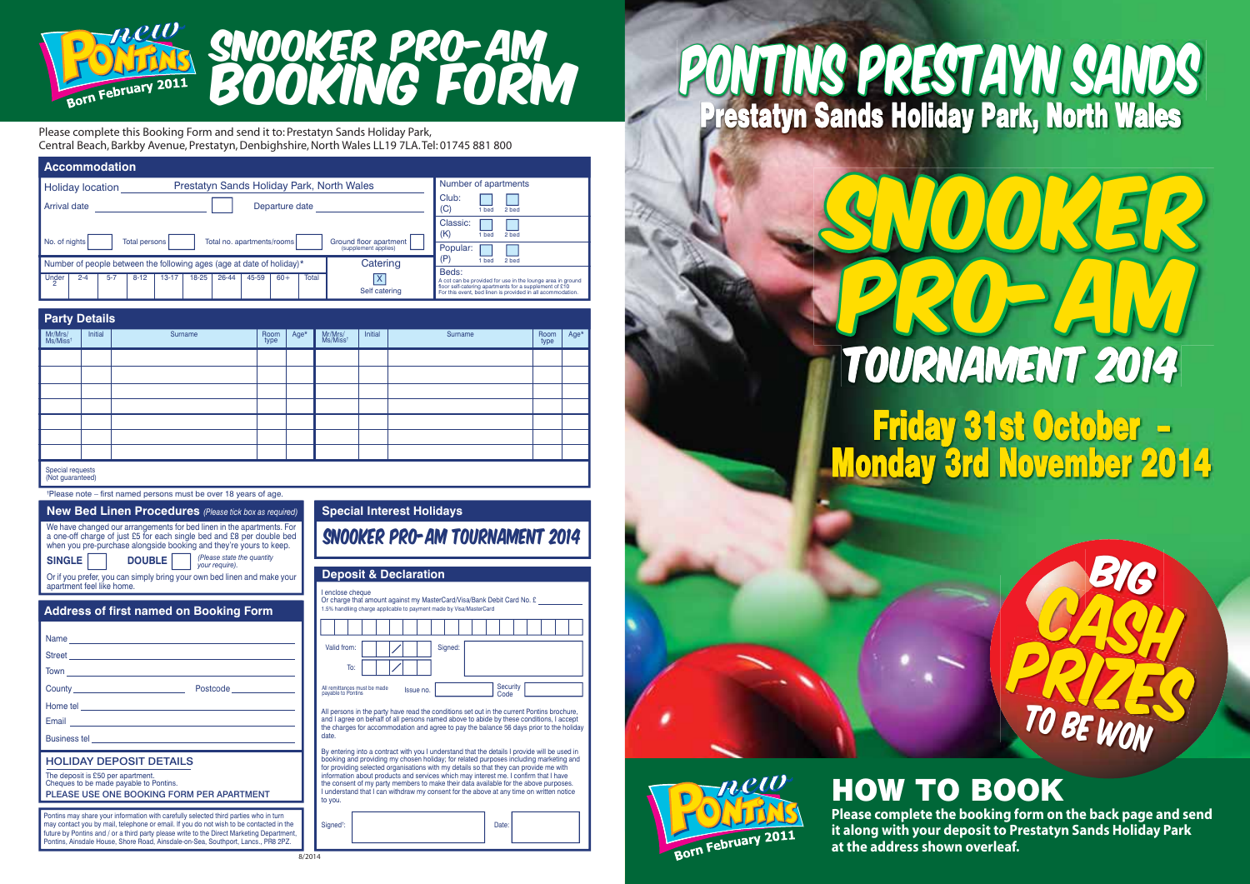

## SNOOKER PRO-AM BOOKING FORM

Please complete this Booking Form and send it to: Prestatyn Sands Holiday Park, Central Beach, Barkby Avenue, Prestatyn, Denbighshire, North Wales LL19 7LA. Tel: 01745 881 800

| <b>Accommodation</b>                                                                                                        |                                                                                                                                                                                    |  |  |  |  |  |  |  |  |  |  |
|-----------------------------------------------------------------------------------------------------------------------------|------------------------------------------------------------------------------------------------------------------------------------------------------------------------------------|--|--|--|--|--|--|--|--|--|--|
| Prestatyn Sands Holiday Park, North Wales<br><b>Holiday location</b>                                                        | Number of apartments                                                                                                                                                               |  |  |  |  |  |  |  |  |  |  |
| Arrival date<br>Departure date                                                                                              | Club:<br>(C)<br>2 bed<br>bed                                                                                                                                                       |  |  |  |  |  |  |  |  |  |  |
| Classic:<br>(K)<br>2 hed<br>1 bed<br>No. of nights<br>Total no. apartments/rooms<br>Ground floor apartment<br>Total persons |                                                                                                                                                                                    |  |  |  |  |  |  |  |  |  |  |
| (supplement applies)                                                                                                        | Popular:<br>2 hed<br>1 bed                                                                                                                                                         |  |  |  |  |  |  |  |  |  |  |
| Catering<br>Number of people between the following ages (age at date of holiday)*                                           | Beds:                                                                                                                                                                              |  |  |  |  |  |  |  |  |  |  |
| Total<br>Under<br>26-44<br>$13 - 17$<br>18-25<br>45-59<br>$60+$<br>$2 - 4$<br>$5 - 7$<br>$8 - 12$<br>Self catering          | A cot can be provided for use in the lounge area in ground<br>floor self-catering apartments for a supplement of £10<br>For this event, bed linen is provided in all acommodation. |  |  |  |  |  |  |  |  |  |  |

| <b>Party Details</b>                 |         |         |              |      |                     |         |         |              |      |  |  |  |
|--------------------------------------|---------|---------|--------------|------|---------------------|---------|---------|--------------|------|--|--|--|
| Mr/Mrs/<br>Ms/Miss <sup>+</sup>      | Initial | Surname | Room<br>type | Age* | Mr/Mrs/<br>Ms/Misst | Initial | Surname | Room<br>type | Age* |  |  |  |
|                                      |         |         |              |      |                     |         |         |              |      |  |  |  |
|                                      |         |         |              |      |                     |         |         |              |      |  |  |  |
|                                      |         |         |              |      |                     |         |         |              |      |  |  |  |
|                                      |         |         |              |      |                     |         |         |              |      |  |  |  |
|                                      |         |         |              |      |                     |         |         |              |      |  |  |  |
|                                      |         |         |              |      |                     |         |         |              |      |  |  |  |
|                                      |         |         |              |      |                     |         |         |              |      |  |  |  |
| Special requests<br>(Not guaranteed) |         |         |              |      |                     |         |         |              |      |  |  |  |

 $8/2014$ 

### † Please note – first named persons must be over 18 years of age.

| New Bed Linen Procedures (Please tick box as required)                                                                                                                                                               | <b>Special Interest Holidays</b> |
|----------------------------------------------------------------------------------------------------------------------------------------------------------------------------------------------------------------------|----------------------------------|
| We have changed our arrangements for bed linen in the apartments. For<br>a one-off charge of just £5 for each single bed and £8 per double bed<br>when you pre-purchase alongside booking and they're yours to keep. | SNOOKER PRO-AM TO                |
| (Please state the quantity<br>your require).<br>DOUBLE  <br>SINGLE  <br>Or if you prefer, you can simply bring your own bed linen and make your<br>apartment feel like home.                                         | <b>Deposit &amp; Declaration</b> |

### **Address of first named on Booking Form**

|                                                                             |                                                                                                                                                                                                                                      | Valid                       |
|-----------------------------------------------------------------------------|--------------------------------------------------------------------------------------------------------------------------------------------------------------------------------------------------------------------------------------|-----------------------------|
|                                                                             | Town <u>Constant Communication</u>                                                                                                                                                                                                   |                             |
|                                                                             | County <b>County</b> Postcode <b>County</b>                                                                                                                                                                                          | All remit<br>payable        |
|                                                                             |                                                                                                                                                                                                                                      | All per                     |
|                                                                             |                                                                                                                                                                                                                                      | and I a<br>the ch           |
|                                                                             | Business tel <b>contract and the contract of the contract of the contract of the contract of the contract of the contract of the contract of the contract of the contract of the contract of the contract of the contract of the</b> | date.                       |
| <b>HOLIDAY DEPOSIT DETAILS</b>                                              |                                                                                                                                                                                                                                      | By ent<br>bookir<br>for pro |
| The deposit is £50 per apartment.<br>Cheques to be made payable to Pontins. |                                                                                                                                                                                                                                      | inform<br>the co            |
|                                                                             | PLEASE USE ONE BOOKING FORM PER APARTMENT                                                                                                                                                                                            | Lunde<br>to you             |

Pontins may share your information with carefully selected third parties who in turn may contact you by mail, telephone or email. If you do not wish to be contacted in the future by Pontins and / or a third party please write to the Direct Marketing Department Pontins, Ainsdale House, Shore Road, Ainsdale-on-Sea, Southport, Lancs., PR8 2PZ.

| SNOOKER PRO-AM TOURNAMENT 2014                                                                                                                                                                                                                                                                                                                                                                                                                                                                                                                                       |  |  |           |         |  |                  |  |  |  |
|----------------------------------------------------------------------------------------------------------------------------------------------------------------------------------------------------------------------------------------------------------------------------------------------------------------------------------------------------------------------------------------------------------------------------------------------------------------------------------------------------------------------------------------------------------------------|--|--|-----------|---------|--|------------------|--|--|--|
| <b>Deposit &amp; Declaration</b>                                                                                                                                                                                                                                                                                                                                                                                                                                                                                                                                     |  |  |           |         |  |                  |  |  |  |
| I enclose cheque<br>Or charge that amount against my MasterCard/Visa/Bank Debit Card No. £<br>1.5% handling charge applicable to payment made by Visa/MasterCard                                                                                                                                                                                                                                                                                                                                                                                                     |  |  |           |         |  |                  |  |  |  |
|                                                                                                                                                                                                                                                                                                                                                                                                                                                                                                                                                                      |  |  |           |         |  |                  |  |  |  |
| Valid from:                                                                                                                                                                                                                                                                                                                                                                                                                                                                                                                                                          |  |  |           | Signed: |  |                  |  |  |  |
| To:                                                                                                                                                                                                                                                                                                                                                                                                                                                                                                                                                                  |  |  |           |         |  |                  |  |  |  |
| All remittances must be made<br>pavable to Pontins                                                                                                                                                                                                                                                                                                                                                                                                                                                                                                                   |  |  | Issue no. |         |  | Security<br>Code |  |  |  |
| All persons in the party have read the conditions set out in the current Pontins brochure.<br>and I agree on behalf of all persons named above to abide by these conditions. I accept<br>the charges for accommodation and agree to pay the balance 56 days prior to the holiday<br>date.                                                                                                                                                                                                                                                                            |  |  |           |         |  |                  |  |  |  |
| By entering into a contract with you I understand that the details I provide will be used in<br>booking and providing my chosen holiday; for related purposes including marketing and<br>for providing selected organisations with my details so that they can provide me with<br>information about products and services which may interest me. I confirm that I have<br>the consent of my party members to make their data available for the above purposes.<br>I understand that I can withdraw my consent for the above at any time on written notice<br>to you. |  |  |           |         |  |                  |  |  |  |
| Signed <sup>t</sup> :                                                                                                                                                                                                                                                                                                                                                                                                                                                                                                                                                |  |  |           |         |  | Date:            |  |  |  |

# PONTINS PRESTAYN SANDS Prestatyn Sands Holiday Park, North Wales

# HOW TO BOOK

Born February 2011

**Please complete the booking form on the back page and send it along with your deposit to Prestatyn Sands Holiday Park at the address shown overleaf.**

Friday 31st October –

TOURNAMENT 2014

SNOOKER

PRO-AM

Monday 3rd November 2014

CASH

BIG

PRIZES

TO BE WON